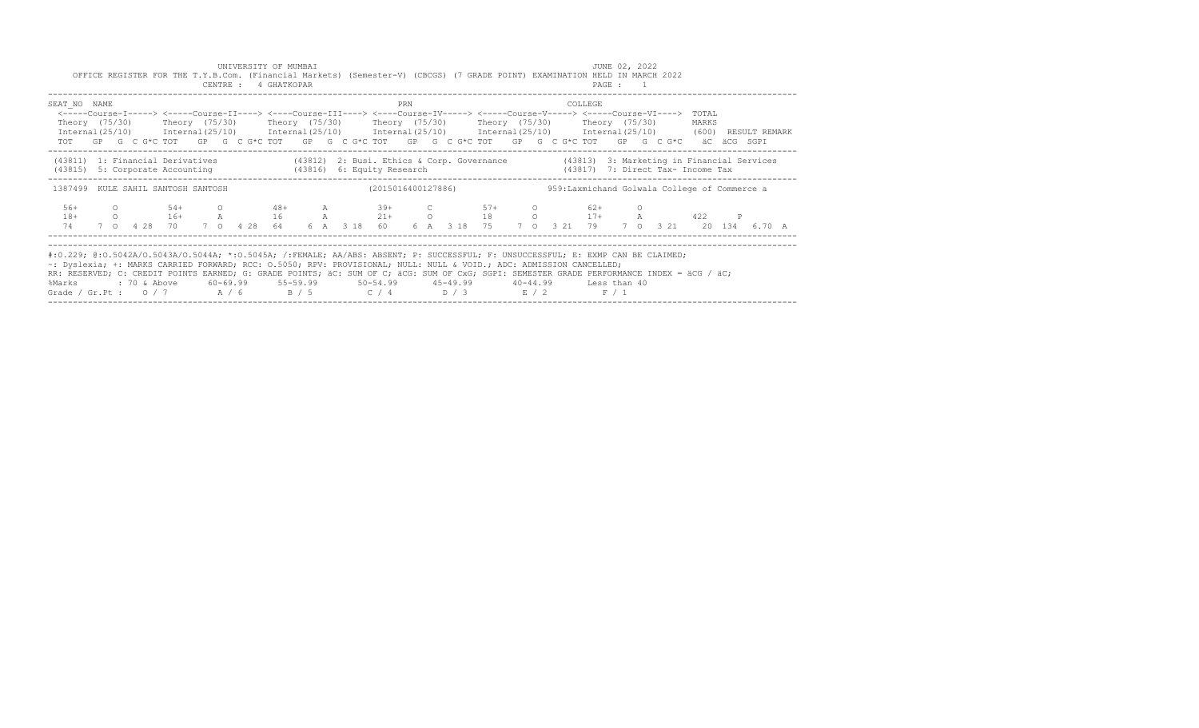|                                                                                                                                                                                                                                                                                                                                                                                                                                                                              |                    |  |  |                                       |  |  |  | UNIVERSITY OF MUMBAI<br>CENTRE : 4 GHATKOPAR |  | OFFICE REGISTER FOR THE T.Y.B.Com. (Financial Markets) (Semester-V) (CBCGS) (7 GRADE POINT) EXAMINATION HELD IN MARCH 2022 |                                                                                                                                                                                                                                                                                                                                                        |  |     |  |  |         |  |  | JUNE 02, 2022<br>PAGE : 1 |         |  |  |  |       |  |  |  |  |  |
|------------------------------------------------------------------------------------------------------------------------------------------------------------------------------------------------------------------------------------------------------------------------------------------------------------------------------------------------------------------------------------------------------------------------------------------------------------------------------|--------------------|--|--|---------------------------------------|--|--|--|----------------------------------------------|--|----------------------------------------------------------------------------------------------------------------------------|--------------------------------------------------------------------------------------------------------------------------------------------------------------------------------------------------------------------------------------------------------------------------------------------------------------------------------------------------------|--|-----|--|--|---------|--|--|---------------------------|---------|--|--|--|-------|--|--|--|--|--|
| SEAT NO NAME<br>$International (25/10)$ $International (25/10)$ $International (25/10)$ $International (25/10)$ $International (25/10)$ $International (25/10)$ $International (25/10)$ (600) RESULT REMARK                                                                                                                                                                                                                                                                  |                    |  |  |                                       |  |  |  |                                              |  |                                                                                                                            | <-----Course-I-----> <-----Course-II----> <----Course-III----> <----Course-IV-----> <----Course-V-----> <----Course-VI----> TOTAL<br>Theory (75/30)    Theory (75/30)    Theory (75/30)    Theory (75/30)    Theory (75/30)    Theory (75/30)<br>TOT GP G C G*C TOT GP G C G*C TOT GP G C G*C TOT GP G C G*C TOT GP G C G*C TOT GP G C G*C aC aCG SGPI |  | PRN |  |  |         |  |  |                           | COLLEGE |  |  |  | MARKS |  |  |  |  |  |
| (43811) 1: Financial Derivatives (43812) 2: Busi. Ethics & Corp. Governance (43813) 3: Marketing in Financial Services<br>(43815) 5: Corporate Accounting (43816) 6: Equity Research (43817) 7: Direct Tax- Income Tax                                                                                                                                                                                                                                                       |                    |  |  |                                       |  |  |  |                                              |  |                                                                                                                            |                                                                                                                                                                                                                                                                                                                                                        |  |     |  |  |         |  |  |                           |         |  |  |  |       |  |  |  |  |  |
| 1387499 KULE SAHIL SANTOSH SANTOSH                                                                                                                                                                                                                                                                                                                                                                                                                                           | (2015016400127886) |  |  |                                       |  |  |  |                                              |  | 959: Laxmichand Golwala College of Commerce a                                                                              |                                                                                                                                                                                                                                                                                                                                                        |  |     |  |  |         |  |  |                           |         |  |  |  |       |  |  |  |  |  |
| $56+$<br>$18+$<br>74                                                                                                                                                                                                                                                                                                                                                                                                                                                         |                    |  |  | $0 \t 54+$<br>7 0 4 28 70 7 0 4 28 64 |  |  |  | $0 \t 48+$                                   |  |                                                                                                                            | A 39+<br>0 16+ A 16 A 21+ 0 18 0 17+ A 422 P<br>6 A 3 18 60 6 A 3 18 75 7 0 3 21 79 7 0 3 21 20 134 6.70 A                                                                                                                                                                                                                                             |  |     |  |  | $C$ 57+ |  |  | $0 \t\t 62+$              |         |  |  |  |       |  |  |  |  |  |
| #:0.229; @:0.5042A/0.5043A/0.5044A; *:0.5045A; /:FEMALE; AA/ABS: ABSENT; P: SUCCESSFUL; F: UNSUCCESSFUL; E: EXMP CAN BE CLAIMED;<br>~: Dyslexia; +: MARKS CARRIED FORWARD; RCC: 0.5050; RPV: PROVISIONAL; NULL: NULL & VOID.; ADC: ADMISSION CANCELLED;<br>RR: RESERVED; C: CREDIT POINTS EARNED; G: GRADE POINTS; äC: SUM OF C; äCG: SUM OF CxG; SGPI: SEMESTER GRADE PERFORMANCE INDEX = äCG / äC;<br>%Marks<br>Grade / Gr. Pt : $0/7$ $A/6$ $B/5$ $C/4$ $D/3$ $E/2$ $F/1$ |                    |  |  |                                       |  |  |  |                                              |  |                                                                                                                            |                                                                                                                                                                                                                                                                                                                                                        |  |     |  |  |         |  |  |                           |         |  |  |  |       |  |  |  |  |  |

------------------------------------------------------------------------------------------------------------------------------------------------------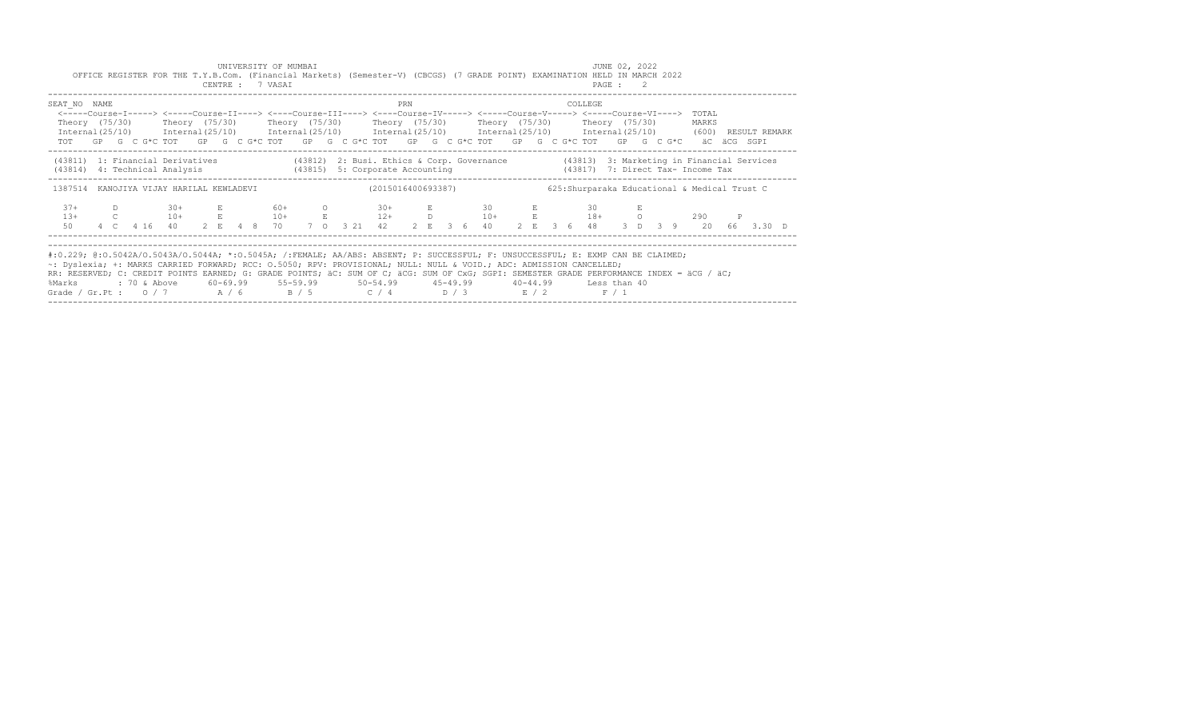|                                                                                                                                                                                                                                                                                                                                                                                                                                                                            |  |  | CENTRE : 7 VASAI | UNIVERSITY OF MUMBAI |                                                                                                                                                                                                                                                                                                                                                        |  |  |  |  |                    |     |  | JUNE 02, 2022<br>OFFICE REGISTER FOR THE T.Y.B.Com. (Financial Markets) (Semester-V) (CBCGS) (7 GRADE POINT) EXAMINATION HELD IN MARCH 2022<br>PAGE : 2 |  |      |  |  |  |  |         |  |  |  |  |                                               |              |  |  |
|----------------------------------------------------------------------------------------------------------------------------------------------------------------------------------------------------------------------------------------------------------------------------------------------------------------------------------------------------------------------------------------------------------------------------------------------------------------------------|--|--|------------------|----------------------|--------------------------------------------------------------------------------------------------------------------------------------------------------------------------------------------------------------------------------------------------------------------------------------------------------------------------------------------------------|--|--|--|--|--------------------|-----|--|---------------------------------------------------------------------------------------------------------------------------------------------------------|--|------|--|--|--|--|---------|--|--|--|--|-----------------------------------------------|--------------|--|--|
| SEAT NO NAME<br>$International (25/10)$ $International (25/10)$ $International (25/10)$ $International (25/10)$ $International (25/10)$ $International (25/10)$ $International (25/10)$ (600) RESULT REMARK                                                                                                                                                                                                                                                                |  |  |                  |                      | <-----Course-I-----> <-----Course-II----> <----Course-III----> <----Course-IV-----> <----Course-V-----> <----Course-VI----> TOTAL<br>Theory (75/30)    Theory (75/30)    Theory (75/30)    Theory (75/30)    Theory (75/30)    Theory (75/30)<br>TOT GP G C G*C TOT GP G C G*C TOT GP G C G*C TOT GP G C G*C TOT GP G C G*C TOT GP G C G*C äC äCG SGPI |  |  |  |  |                    | PRN |  |                                                                                                                                                         |  |      |  |  |  |  | COLLEGE |  |  |  |  | MARKS                                         |              |  |  |
| (43811) 1: Financial Derivatives (43812) 2: Busi. Ethics & Corp. Governance (43813) 3: Marketing in Financial Services<br>(43814) 4: Technical Analysis (43815) 5: Corporate Accounting (43817) 7: Direct Tax- Income Tax<br>1387514 KANOJIYA VIJAY HARILAL KEWLADEVI                                                                                                                                                                                                      |  |  |                  |                      |                                                                                                                                                                                                                                                                                                                                                        |  |  |  |  | (2015016400693387) |     |  |                                                                                                                                                         |  |      |  |  |  |  |         |  |  |  |  | 625: Shurparaka Educational & Medical Trust C |              |  |  |
| $37 +$<br>$13+$<br>50                                                                                                                                                                                                                                                                                                                                                                                                                                                      |  |  |                  |                      | D 30+ E 60+ O<br>C $10+$ E $10+$ E $12+$ D $10+$ E $18+$ O<br>4 C 4 16 40 2 E 4 8 70 7 O 3 21 42 2 E 3 6 40 2 E 3 6 48 3 D 3 9 20 66 3.30 D                                                                                                                                                                                                            |  |  |  |  | $30+$              |     |  |                                                                                                                                                         |  | E 30 |  |  |  |  | E 30    |  |  |  |  | 290 —                                         | $\mathbb{P}$ |  |  |
| #:0.229; @:0.5042A/0.5043A/0.5044A; *:0.5045A; /:FEMALE; AA/ABS: ABSENT; P: SUCCESSFUL; F: UNSUCCESSFUL; E: EXMP CAN BE CLAIMED;<br>~: Dyslexia; +: MARKS CARRIED FORWARD; RCC: 0.5050; RPV: PROVISIONAL; NULL: NULL & VOID.; ADC: ADMISSION CANCELLED;<br>RR: RESERVED; C: CREDIT POINTS EARNED; G: GRADE POINTS; äC: SUM OF C; äCG: SUM OF CxG; SGPI: SEMESTER GRADE PERFORMANCE INDEX = äCG / äC;<br>%Marks<br>Grade / Gr.Pt: $0/7$ $A/6$ $B/5$ $C/4$ $D/3$ $E/2$ $F/1$ |  |  |                  |                      |                                                                                                                                                                                                                                                                                                                                                        |  |  |  |  |                    |     |  |                                                                                                                                                         |  |      |  |  |  |  |         |  |  |  |  |                                               |              |  |  |

------------------------------------------------------------------------------------------------------------------------------------------------------